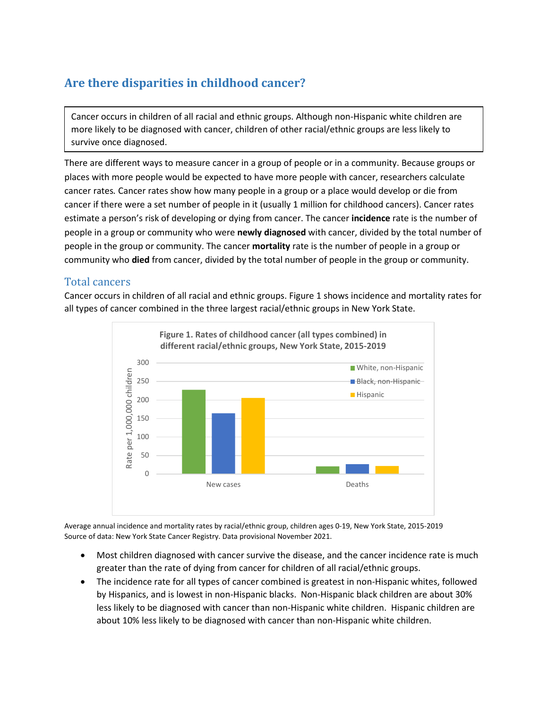## **Are there disparities in childhood cancer?**

Cancer occurs in children of all racial and ethnic groups. Although non-Hispanic white children are more likely to be diagnosed with cancer, children of other racial/ethnic groups are less likely to survive once diagnosed.

There are different ways to measure cancer in a group of people or in a community. Because groups or places with more people would be expected to have more people with cancer, researchers calculate cancer rates*.* Cancer rates show how many people in a group or a place would develop or die from cancer if there were a set number of people in it (usually 1 million for childhood cancers). Cancer rates estimate a person's risk of developing or dying from cancer. The cancer **incidence** rate is the number of people in a group or community who were **newly diagnosed** with cancer, divided by the total number of people in the group or community. The cancer **mortality** rate is the number of people in a group or community who **died** from cancer, divided by the total number of people in the group or community.

## Total cancers

Cancer occurs in children of all racial and ethnic groups. Figure 1 shows incidence and mortality rates for all types of cancer combined in the three largest racial/ethnic groups in New York State.



Average annual incidence and mortality rates by racial/ethnic group, children ages 0-19, New York State, 2015-2019 Source of data: New York State Cancer Registry. Data provisional November 2021.

- Most children diagnosed with cancer survive the disease, and the cancer incidence rate is much greater than the rate of dying from cancer for children of all racial/ethnic groups.
- The incidence rate for all types of cancer combined is greatest in non-Hispanic whites, followed by Hispanics, and is lowest in non-Hispanic blacks. Non-Hispanic black children are about 30% less likely to be diagnosed with cancer than non-Hispanic white children. Hispanic children are about 10% less likely to be diagnosed with cancer than non-Hispanic white children.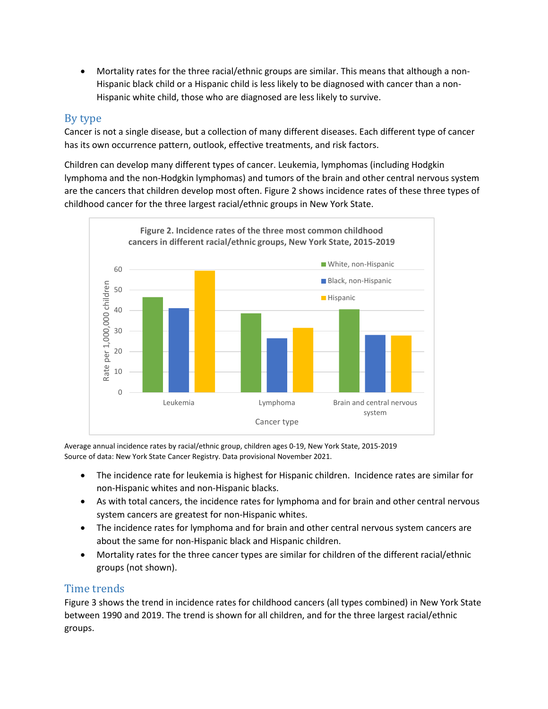• Mortality rates for the three racial/ethnic groups are similar. This means that although a non-Hispanic black child or a Hispanic child is less likely to be diagnosed with cancer than a non-Hispanic white child, those who are diagnosed are less likely to survive.

## By type

Cancer is not a single disease, but a collection of many different diseases. Each different type of cancer has its own occurrence pattern, outlook, effective treatments, and risk factors.

Children can develop many different types of cancer. Leukemia, lymphomas (including Hodgkin lymphoma and the non-Hodgkin lymphomas) and tumors of the brain and other central nervous system are the cancers that children develop most often. Figure 2 shows incidence rates of these three types of childhood cancer for the three largest racial/ethnic groups in New York State.



Average annual incidence rates by racial/ethnic group, children ages 0-19, New York State, 2015-2019 Source of data: New York State Cancer Registry. Data provisional November 2021.

- The incidence rate for leukemia is highest for Hispanic children. Incidence rates are similar for non-Hispanic whites and non-Hispanic blacks.
- As with total cancers, the incidence rates for lymphoma and for brain and other central nervous system cancers are greatest for non-Hispanic whites.
- The incidence rates for lymphoma and for brain and other central nervous system cancers are about the same for non-Hispanic black and Hispanic children.
- Mortality rates for the three cancer types are similar for children of the different racial/ethnic groups (not shown).

## Time trends

Figure 3 shows the trend in incidence rates for childhood cancers (all types combined) in New York State between 1990 and 2019. The trend is shown for all children, and for the three largest racial/ethnic groups.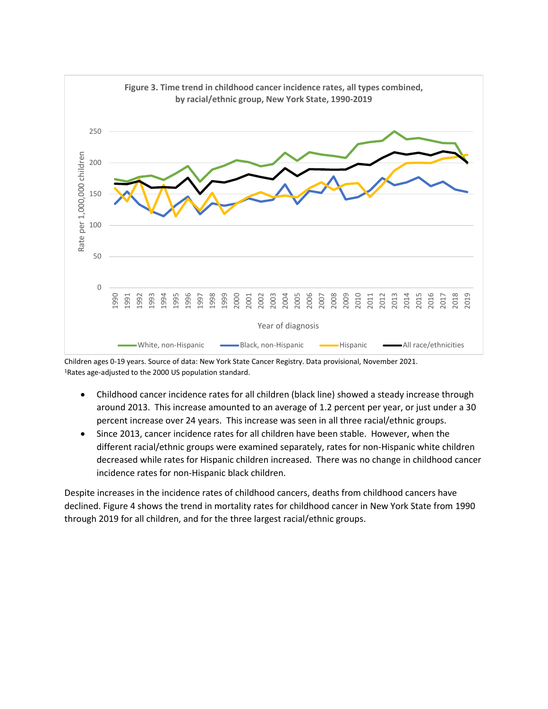

Children ages 0-19 years. Source of data: New York State Cancer Registry. Data provisional, November 2021. 1Rates age-adjusted to the 2000 US population standard.

- Childhood cancer incidence rates for all children (black line) showed a steady increase through around 2013. This increase amounted to an average of 1.2 percent per year, or just under a 30 percent increase over 24 years. This increase was seen in all three racial/ethnic groups.
- Since 2013, cancer incidence rates for all children have been stable. However, when the different racial/ethnic groups were examined separately, rates for non-Hispanic white children decreased while rates for Hispanic children increased. There was no change in childhood cancer incidence rates for non-Hispanic black children.

Despite increases in the incidence rates of childhood cancers, deaths from childhood cancers have declined. Figure 4 shows the trend in mortality rates for childhood cancer in New York State from 1990 through 2019 for all children, and for the three largest racial/ethnic groups.